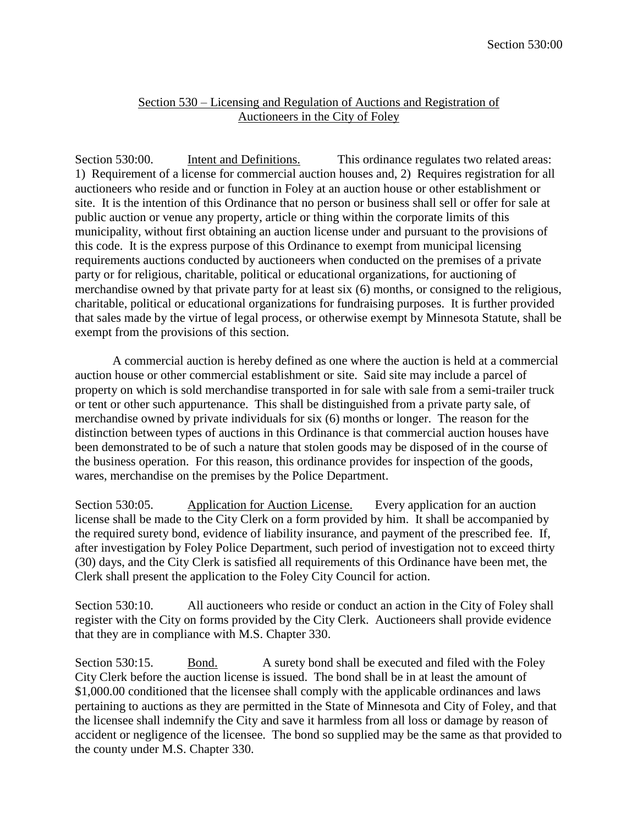## Section 530 – Licensing and Regulation of Auctions and Registration of Auctioneers in the City of Foley

Section 530:00. Intent and Definitions. This ordinance regulates two related areas: 1) Requirement of a license for commercial auction houses and, 2) Requires registration for all auctioneers who reside and or function in Foley at an auction house or other establishment or site. It is the intention of this Ordinance that no person or business shall sell or offer for sale at public auction or venue any property, article or thing within the corporate limits of this municipality, without first obtaining an auction license under and pursuant to the provisions of this code. It is the express purpose of this Ordinance to exempt from municipal licensing requirements auctions conducted by auctioneers when conducted on the premises of a private party or for religious, charitable, political or educational organizations, for auctioning of merchandise owned by that private party for at least six (6) months, or consigned to the religious, charitable, political or educational organizations for fundraising purposes. It is further provided that sales made by the virtue of legal process, or otherwise exempt by Minnesota Statute, shall be exempt from the provisions of this section.

A commercial auction is hereby defined as one where the auction is held at a commercial auction house or other commercial establishment or site. Said site may include a parcel of property on which is sold merchandise transported in for sale with sale from a semi-trailer truck or tent or other such appurtenance. This shall be distinguished from a private party sale, of merchandise owned by private individuals for six (6) months or longer. The reason for the distinction between types of auctions in this Ordinance is that commercial auction houses have been demonstrated to be of such a nature that stolen goods may be disposed of in the course of the business operation. For this reason, this ordinance provides for inspection of the goods, wares, merchandise on the premises by the Police Department.

Section 530:05. Application for Auction License. Every application for an auction license shall be made to the City Clerk on a form provided by him. It shall be accompanied by the required surety bond, evidence of liability insurance, and payment of the prescribed fee. If, after investigation by Foley Police Department, such period of investigation not to exceed thirty (30) days, and the City Clerk is satisfied all requirements of this Ordinance have been met, the Clerk shall present the application to the Foley City Council for action.

Section 530:10. All auctioneers who reside or conduct an action in the City of Foley shall register with the City on forms provided by the City Clerk. Auctioneers shall provide evidence that they are in compliance with M.S. Chapter 330.

Section 530:15. Bond. A surety bond shall be executed and filed with the Foley City Clerk before the auction license is issued. The bond shall be in at least the amount of \$1,000.00 conditioned that the licensee shall comply with the applicable ordinances and laws pertaining to auctions as they are permitted in the State of Minnesota and City of Foley, and that the licensee shall indemnify the City and save it harmless from all loss or damage by reason of accident or negligence of the licensee. The bond so supplied may be the same as that provided to the county under M.S. Chapter 330.